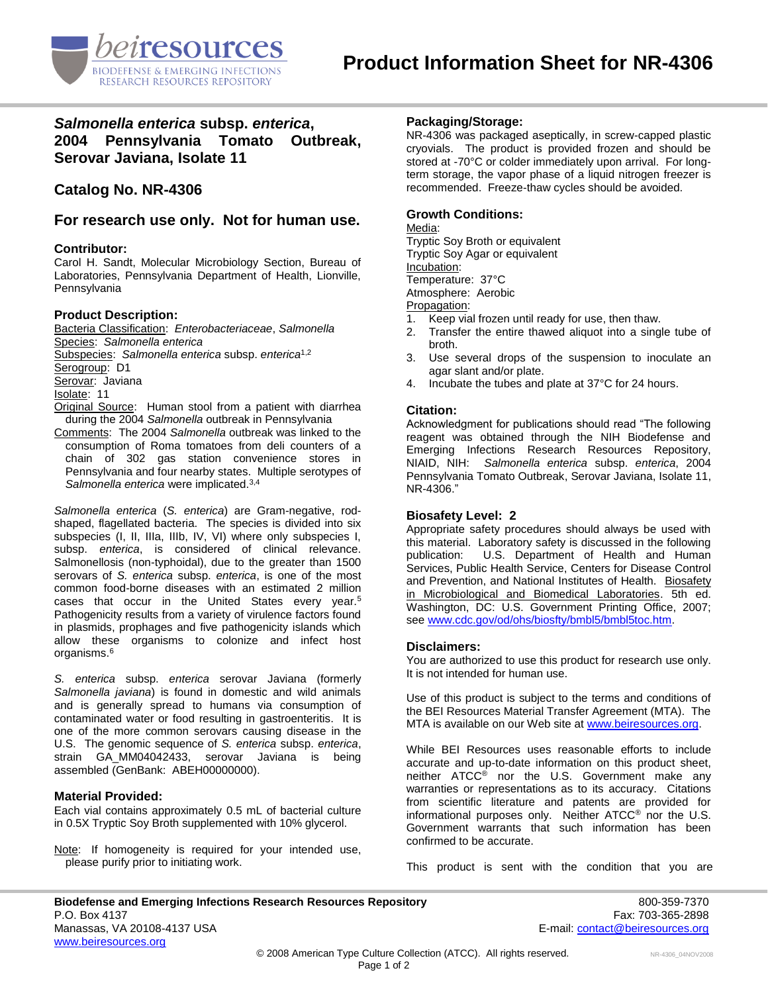

# *Salmonella enterica* **subsp.** *enterica***, 2004 Pennsylvania Tomato Outbreak, Serovar Javiana, Isolate 11**

# **Catalog No. NR-4306**

**For research use only. Not for human use.**

### **Contributor:**

Carol H. Sandt, Molecular Microbiology Section, Bureau of Laboratories, Pennsylvania Department of Health, Lionville, Pennsylvania

### **Product Description:**

Bacteria Classification: *Enterobacteriaceae*, *Salmonella* Species: *Salmonella enterica* Subspecies: *Salmonella enterica* subsp. *enterica*1,2 Serogroup: D1 Serovar: Javiana Isolate: 11 Original Source: Human stool from a patient with diarrhea during the 2004 *Salmonella* outbreak in Pennsylvania

Comments: The 2004 *Salmonella* outbreak was linked to the consumption of Roma tomatoes from deli counters of a chain of 302 gas station convenience stores in Pennsylvania and four nearby states. Multiple serotypes of *Salmonella enterica* were implicated.3,4

*Salmonella enterica* (*S. enterica*) are Gram-negative, rodshaped, flagellated bacteria. The species is divided into six subspecies (I, II, IIIa, IIIb, IV, VI) where only subspecies I, subsp. *enterica*, is considered of clinical relevance. Salmonellosis (non-typhoidal), due to the greater than 1500 serovars of *S. enterica* subsp. *enterica*, is one of the most common food-borne diseases with an estimated 2 million cases that occur in the United States every year.<sup>5</sup> Pathogenicity results from a variety of virulence factors found in plasmids, prophages and five pathogenicity islands which allow these organisms to colonize and infect host organisms.<sup>6</sup>

*S. enterica* subsp. *enterica* serovar Javiana (formerly *Salmonella javiana*) is found in domestic and wild animals and is generally spread to humans via consumption of contaminated water or food resulting in gastroenteritis. It is one of the more common serovars causing disease in the U.S. The genomic sequence of *S. enterica* subsp. *enterica*, strain GA\_MM04042433, serovar Javiana is being assembled (GenBank: ABEH00000000).

### **Material Provided:**

Each vial contains approximately 0.5 mL of bacterial culture in 0.5X Tryptic Soy Broth supplemented with 10% glycerol.

Note: If homogeneity is required for your intended use, please purify prior to initiating work.

## **Packaging/Storage:**

NR-4306 was packaged aseptically, in screw-capped plastic cryovials. The product is provided frozen and should be stored at -70°C or colder immediately upon arrival. For longterm storage, the vapor phase of a liquid nitrogen freezer is recommended. Freeze-thaw cycles should be avoided.

## **Growth Conditions:**

#### Media:

Tryptic Soy Broth or equivalent Tryptic Soy Agar or equivalent Incubation: Temperature: 37°C Atmosphere: Aerobic

- Propagation:<br>1. Keep via Keep vial frozen until ready for use, then thaw.
- 2. Transfer the entire thawed aliquot into a single tube of broth.
- 3. Use several drops of the suspension to inoculate an agar slant and/or plate.
- 4. Incubate the tubes and plate at 37°C for 24 hours.

### **Citation:**

Acknowledgment for publications should read "The following reagent was obtained through the NIH Biodefense and Emerging Infections Research Resources Repository, NIAID, NIH: *Salmonella enterica* subsp. *enterica*, 2004 Pennsylvania Tomato Outbreak, Serovar Javiana, Isolate 11, NR-4306."

### **Biosafety Level: 2**

Appropriate safety procedures should always be used with this material. Laboratory safety is discussed in the following publication: U.S. Department of Health and Human Services, Public Health Service, Centers for Disease Control and Prevention, and National Institutes of Health. Biosafety in Microbiological and Biomedical Laboratories. 5th ed. Washington, DC: U.S. Government Printing Office, 2007; see [www.cdc.gov/od/ohs/biosfty/bmbl5/bmbl5toc.htm.](http://www.cdc.gov/od/ohs/biosfty/bmbl5/bmbl5toc.htm)

### **Disclaimers:**

You are authorized to use this product for research use only. It is not intended for human use.

Use of this product is subject to the terms and conditions of the BEI Resources Material Transfer Agreement (MTA). The MTA is available on our Web site at [www.beiresources.org.](http://www.beiresources.org/)

While BEI Resources uses reasonable efforts to include accurate and up-to-date information on this product sheet, neither ATCC<sup>®</sup> nor the U.S. Government make any warranties or representations as to its accuracy. Citations from scientific literature and patents are provided for informational purposes only. Neither ATCC® nor the U.S. Government warrants that such information has been confirmed to be accurate.

This product is sent with the condition that you are